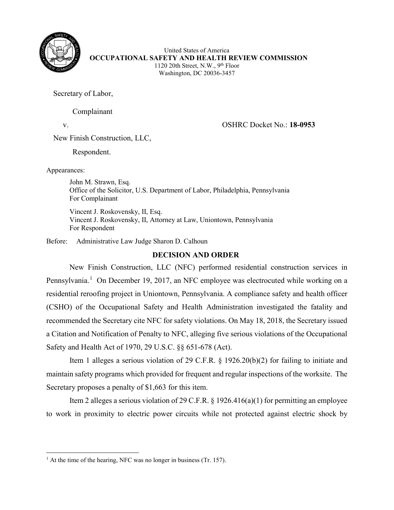

United States of America **OCCUPATIONAL SAFETY AND HEALTH REVIEW COMMISSION** 1120 20th Street, N.W., 9th Floor Washington, DC 20036-3457

Secretary of Labor,

Complainant

v. OSHRC Docket No.: **18-0953**

New Finish Construction, LLC,

Respondent.

Appearances:

John M. Strawn, Esq. Office of the Solicitor, U.S. Department of Labor, Philadelphia, Pennsylvania For Complainant

Vincent J. Roskovensky, II, Esq. Vincent J. Roskovensky, II, Attorney at Law, Uniontown, Pennsylvania For Respondent

Before: Administrative Law Judge Sharon D. Calhoun

# **DECISION AND ORDER**

New Finish Construction, LLC (NFC) performed residential construction services in Pennsylvania.<sup>[1](#page-0-0)</sup> On December 19, 2017, an NFC employee was electrocuted while working on a residential reroofing project in Uniontown, Pennsylvania. A compliance safety and health officer (CSHO) of the Occupational Safety and Health Administration investigated the fatality and recommended the Secretary cite NFC for safety violations. On May 18, 2018, the Secretary issued a Citation and Notification of Penalty to NFC, alleging five serious violations of the Occupational Safety and Health Act of 1970, 29 U.S.C. §§ 651-678 (Act).

Item 1 alleges a serious violation of 29 C.F.R. § 1926.20(b)(2) for failing to initiate and maintain safety programs which provided for frequent and regular inspections of the worksite. The Secretary proposes a penalty of \$1,663 for this item.

Item 2 alleges a serious violation of 29 C.F.R. § 1926.416(a)(1) for permitting an employee to work in proximity to electric power circuits while not protected against electric shock by

<span id="page-0-0"></span><sup>&</sup>lt;sup>1</sup> At the time of the hearing, NFC was no longer in business (Tr. 157).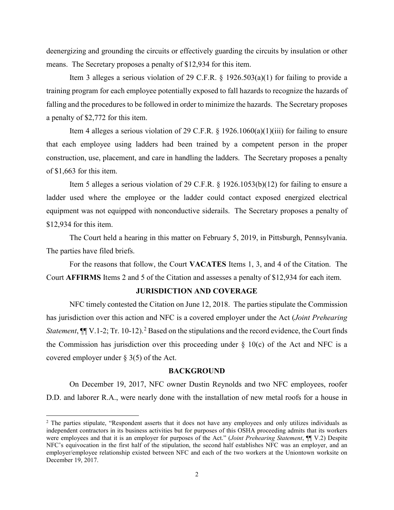deenergizing and grounding the circuits or effectively guarding the circuits by insulation or other means. The Secretary proposes a penalty of \$12,934 for this item.

Item 3 alleges a serious violation of 29 C.F.R. § 1926.503(a)(1) for failing to provide a training program for each employee potentially exposed to fall hazards to recognize the hazards of falling and the procedures to be followed in order to minimize the hazards. The Secretary proposes a penalty of \$2,772 for this item.

Item 4 alleges a serious violation of 29 C.F.R.  $\S$  1926.1060(a)(1)(iii) for failing to ensure that each employee using ladders had been trained by a competent person in the proper construction, use, placement, and care in handling the ladders. The Secretary proposes a penalty of \$1,663 for this item.

Item 5 alleges a serious violation of 29 C.F.R. § 1926.1053(b)(12) for failing to ensure a ladder used where the employee or the ladder could contact exposed energized electrical equipment was not equipped with nonconductive siderails. The Secretary proposes a penalty of \$12,934 for this item.

The Court held a hearing in this matter on February 5, 2019, in Pittsburgh, Pennsylvania. The parties have filed briefs.

For the reasons that follow, the Court **VACATES** Items 1, 3, and 4 of the Citation. The Court **AFFIRMS** Items 2 and 5 of the Citation and assesses a penalty of \$12,934 for each item.

#### **JURISDICTION AND COVERAGE**

NFC timely contested the Citation on June 12, 2018. The parties stipulate the Commission has jurisdiction over this action and NFC is a covered employer under the Act (*Joint Prehearing Statement*,  $\P\P$  V.1-[2](#page-1-0); Tr. 10-12).<sup>2</sup> Based on the stipulations and the record evidence, the Court finds the Commission has jurisdiction over this proceeding under  $\S$  10(c) of the Act and NFC is a covered employer under § 3(5) of the Act.

#### **BACKGROUND**

On December 19, 2017, NFC owner Dustin Reynolds and two NFC employees, roofer D.D. and laborer R.A., were nearly done with the installation of new metal roofs for a house in

<span id="page-1-0"></span><sup>&</sup>lt;sup>2</sup> The parties stipulate, "Respondent asserts that it does not have any employees and only utilizes individuals as independent contractors in its business activities but for purposes of this OSHA proceeding admits that its workers were employees and that it is an employer for purposes of the Act." (*Joint Prehearing Statement*, ¶¶ V.2) Despite NFC's equivocation in the first half of the stipulation, the second half establishes NFC was an employer, and an employer/employee relationship existed between NFC and each of the two workers at the Uniontown worksite on December 19, 2017.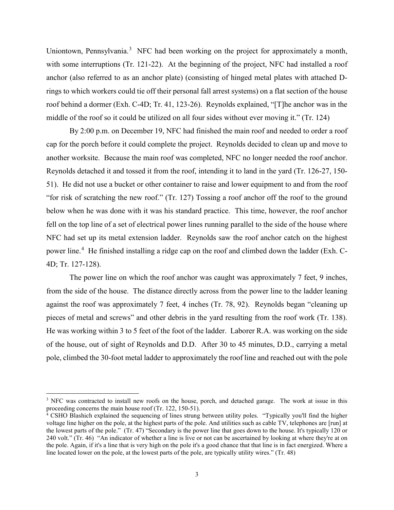Uniontown, Pennsylvania.<sup>[3](#page-2-0)</sup> NFC had been working on the project for approximately a month, with some interruptions (Tr. 121-22). At the beginning of the project, NFC had installed a roof anchor (also referred to as an anchor plate) (consisting of hinged metal plates with attached Drings to which workers could tie off their personal fall arrest systems) on a flat section of the house roof behind a dormer (Exh. C-4D; Tr. 41, 123-26). Reynolds explained, "[T]he anchor was in the middle of the roof so it could be utilized on all four sides without ever moving it." (Tr. 124)

By 2:00 p.m. on December 19, NFC had finished the main roof and needed to order a roof cap for the porch before it could complete the project. Reynolds decided to clean up and move to another worksite. Because the main roof was completed, NFC no longer needed the roof anchor. Reynolds detached it and tossed it from the roof, intending it to land in the yard (Tr. 126-27, 150- 51). He did not use a bucket or other container to raise and lower equipment to and from the roof "for risk of scratching the new roof." (Tr. 127) Tossing a roof anchor off the roof to the ground below when he was done with it was his standard practice. This time, however, the roof anchor fell on the top line of a set of electrical power lines running parallel to the side of the house where NFC had set up its metal extension ladder. Reynolds saw the roof anchor catch on the highest power line.<sup>[4](#page-2-1)</sup> He finished installing a ridge cap on the roof and climbed down the ladder (Exh. C-4D; Tr. 127-128).

The power line on which the roof anchor was caught was approximately 7 feet, 9 inches, from the side of the house. The distance directly across from the power line to the ladder leaning against the roof was approximately 7 feet, 4 inches (Tr. 78, 92). Reynolds began "cleaning up pieces of metal and screws" and other debris in the yard resulting from the roof work (Tr. 138). He was working within 3 to 5 feet of the foot of the ladder. Laborer R.A. was working on the side of the house, out of sight of Reynolds and D.D. After 30 to 45 minutes, D.D., carrying a metal pole, climbed the 30-foot metal ladder to approximately the roof line and reached out with the pole

<span id="page-2-0"></span><sup>&</sup>lt;sup>3</sup> NFC was contracted to install new roofs on the house, porch, and detached garage. The work at issue in this proceeding concerns the main house roof (Tr. 122, 150-51).

<span id="page-2-1"></span> $4 \text{ CSHO Blashich explained the sequencing of lines string between utility poles. "Typically you'll find the higher$ voltage line higher on the pole, at the highest parts of the pole. And utilities such as cable TV, telephones are [run] at the lowest parts of the pole." (Tr. 47) "Secondary is the power line that goes down to the house. It's typically 120 or 240 volt." (Tr. 46) "An indicator of whether a line is live or not can be ascertained by looking at where they're at on the pole. Again, if it's a line that is very high on the pole it's a good chance that that line is in fact energized. Where a line located lower on the pole, at the lowest parts of the pole, are typically utility wires." (Tr. 48)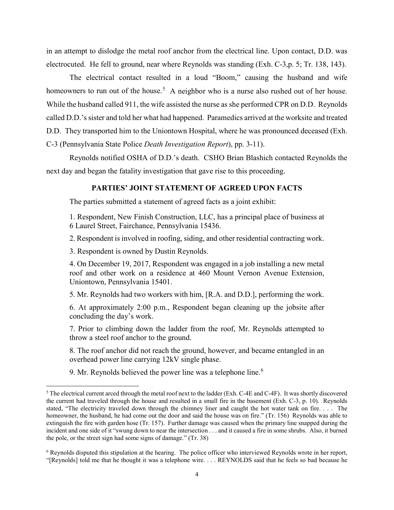in an attempt to dislodge the metal roof anchor from the electrical line. Upon contact, D.D. was electrocuted. He fell to ground, near where Reynolds was standing (Exh. C-3,p. 5; Tr. 138, 143).

The electrical contact resulted in a loud "Boom," causing the husband and wife homeowners to run out of the house.<sup>[5](#page-3-0)</sup> A neighbor who is a nurse also rushed out of her house. While the husband called 911, the wife assisted the nurse as she performed CPR on D.D. Reynolds called D.D.'s sister and told her what had happened. Paramedics arrived at the worksite and treated D.D. They transported him to the Uniontown Hospital, where he was pronounced deceased (Exh. C-3 (Pennsylvania State Police *Death Investigation Report*), pp. 3-11).

Reynolds notified OSHA of D.D.'s death. CSHO Brian Blashich contacted Reynolds the next day and began the fatality investigation that gave rise to this proceeding.

## **PARTIES' JOINT STATEMENT OF AGREED UPON FACTS**

The parties submitted a statement of agreed facts as a joint exhibit:

1. Respondent, New Finish Construction, LLC, has a principal place of business at 6 Laurel Street, Fairchance, Pennsylvania 15436.

2. Respondent is involved in roofing, siding, and other residential contracting work.

3. Respondent is owned by Dustin Reynolds.

4. On December 19, 2017, Respondent was engaged in a job installing a new metal roof and other work on a residence at 460 Mount Vernon Avenue Extension, Uniontown, Pennsylvania 15401.

5. Mr. Reynolds had two workers with him, [R.A. and D.D.], performing the work.

6. At approximately 2:00 p.m., Respondent began cleaning up the jobsite after concluding the day's work.

7. Prior to climbing down the ladder from the roof, Mr. Reynolds attempted to throw a steel roof anchor to the ground.

8. The roof anchor did not reach the ground, however, and became entangled in an overhead power line carrying 12kV single phase.

9. Mr. Reynolds believed the power line was a telephone line.<sup>[6](#page-3-1)</sup>

<span id="page-3-0"></span><sup>&</sup>lt;sup>5</sup> The electrical current arced through the metal roof next to the ladder (Exh. C-4E and C-4F). It was shortly discovered the current had traveled through the house and resulted in a small fire in the basement (Exh. C-3, p. 10). Reynolds stated, "The electricity traveled down through the chimney liner and caught the hot water tank on fire. . . . The homeowner, the husband, he had come out the door and said the house was on fire." (Tr. 156) Reynolds was able to extinguish the fire with garden hose (Tr. 157). Further damage was caused when the primary line snapped during the incident and one side of it "swung down to near the intersection . . . and it caused a fire in some shrubs. Also, it burned the pole, or the street sign had some signs of damage." (Tr. 38)

<span id="page-3-1"></span><sup>6</sup> Reynolds disputed this stipulation at the hearing. The police officer who interviewed Reynolds wrote in her report, "[Reynolds] told me that he thought it was a telephone wire. . . . REYNOLDS said that he feels so bad because he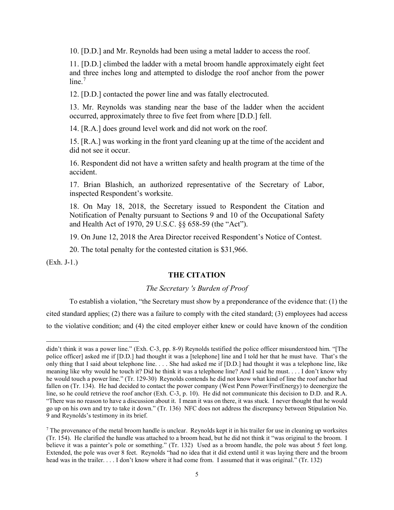10. [D.D.] and Mr. Reynolds had been using a metal ladder to access the roof.

11. [D.D.] climbed the ladder with a metal broom handle approximately eight feet and three inches long and attempted to dislodge the roof anchor from the power  $line<sup>7</sup>$  $line<sup>7</sup>$  $line<sup>7</sup>$ 

12. [D.D.] contacted the power line and was fatally electrocuted.

13. Mr. Reynolds was standing near the base of the ladder when the accident occurred, approximately three to five feet from where [D.D.] fell.

14. [R.A.] does ground level work and did not work on the roof.

15. [R.A.] was working in the front yard cleaning up at the time of the accident and did not see it occur.

16. Respondent did not have a written safety and health program at the time of the accident.

17. Brian Blashich, an authorized representative of the Secretary of Labor, inspected Respondent's worksite.

18. On May 18, 2018, the Secretary issued to Respondent the Citation and Notification of Penalty pursuant to Sections 9 and 10 of the Occupational Safety and Health Act of 1970, 29 U.S.C. §§ 658-59 (the "Act").

19. On June 12, 2018 the Area Director received Respondent's Notice of Contest.

20. The total penalty for the contested citation is \$31,966.

(Exh. J-1.)

### **THE CITATION**

### *The Secretary 's Burden of Proof*

To establish a violation, "the Secretary must show by a preponderance of the evidence that: (1) the cited standard applies; (2) there was a failure to comply with the cited standard; (3) employees had access to the violative condition; and (4) the cited employer either knew or could have known of the condition

didn't think it was a power line." (Exh. C-3, pp. 8-9) Reynolds testified the police officer misunderstood him. "[The police officer] asked me if [D.D.] had thought it was a [telephone] line and I told her that he must have. That's the only thing that I said about telephone line. . . . She had asked me if [D.D.] had thought it was a telephone line, like meaning like why would he touch it? Did he think it was a telephone line? And I said he must. . . . I don't know why he would touch a power line." (Tr. 129-30) Reynolds contends he did not know what kind of line the roof anchor had fallen on (Tr. 134). He had decided to contact the power company (West Penn Power/FirstEnergy) to deenergize the line, so he could retrieve the roof anchor (Exh. C-3, p. 10). He did not communicate this decision to D.D. and R.A. "There was no reason to have a discussion about it. I mean it was on there, it was stuck. I never thought that he would go up on his own and try to take it down." (Tr. 136) NFC does not address the discrepancy between Stipulation No. 9 and Reynolds's testimony in its brief.

<span id="page-4-0"></span> $<sup>7</sup>$  The provenance of the metal broom handle is unclear. Reynolds kept it in his trailer for use in cleaning up worksites</sup> (Tr. 154). He clarified the handle was attached to a broom head, but he did not think it "was original to the broom. I believe it was a painter's pole or something." (Tr. 132) Used as a broom handle, the pole was about 5 feet long. Extended, the pole was over 8 feet. Reynolds "had no idea that it did extend until it was laying there and the broom head was in the trailer. . . . I don't know where it had come from. I assumed that it was original." (Tr. 132)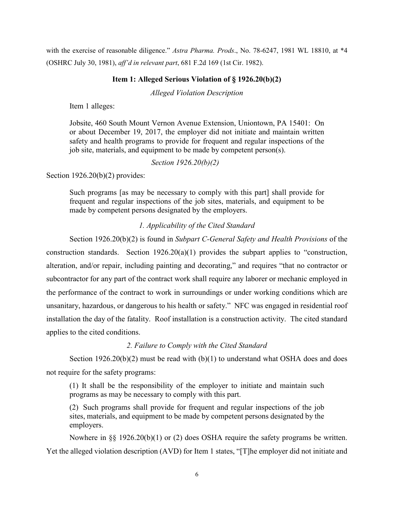with the exercise of reasonable diligence." *Astra Pharma. Prods*., No. 78-6247, 1981 WL 18810, at \*4 (OSHRC July 30, 1981), *aff'd in relevant part*, 681 F.2d 169 (1st Cir. 1982).

## **Item 1: Alleged Serious Violation of § 1926.20(b)(2)**

*Alleged Violation Description*

Item 1 alleges:

Jobsite, 460 South Mount Vernon Avenue Extension, Uniontown, PA 15401: On or about December 19, 2017, the employer did not initiate and maintain written safety and health programs to provide for frequent and regular inspections of the job site, materials, and equipment to be made by competent person(s).

*Section 1926.20(b)(2)* 

Section 1926.20(b)(2) provides:

Such programs [as may be necessary to comply with this part] shall provide for frequent and regular inspections of the job sites, materials, and equipment to be made by competent persons designated by the employers.

# *1. Applicability of the Cited Standard*

Section 1926.20(b)(2) is found in *Subpart C-General Safety and Health Provisions* of the construction standards. Section 1926.20(a)(1) provides the subpart applies to "construction, alteration, and/or repair, including painting and decorating," and requires "that no contractor or subcontractor for any part of the contract work shall require any laborer or mechanic employed in the performance of the contract to work in surroundings or under working conditions which are unsanitary, hazardous, or dangerous to his health or safety." NFC was engaged in residential roof installation the day of the fatality. Roof installation is a construction activity. The cited standard applies to the cited conditions.

## *2. Failure to Comply with the Cited Standard*

Section  $1926.20(b)(2)$  must be read with  $(b)(1)$  to understand what OSHA does and does not require for the safety programs:

(1) It shall be the responsibility of the employer to initiate and maintain such programs as may be necessary to comply with this part.

(2) Such programs shall provide for frequent and regular inspections of the job sites, materials, and equipment to be made by competent persons designated by the employers.

Nowhere in §§ 1926.20(b)(1) or (2) does OSHA require the safety programs be written. Yet the alleged violation description (AVD) for Item 1 states, "[T]he employer did not initiate and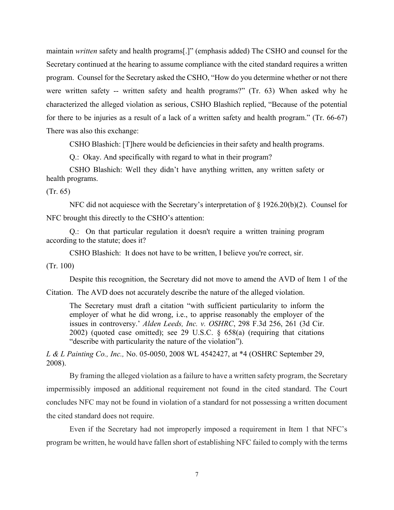maintain *written* safety and health programs[.]" (emphasis added) The CSHO and counsel for the Secretary continued at the hearing to assume compliance with the cited standard requires a written program. Counsel for the Secretary asked the CSHO, "How do you determine whether or not there were written safety -- written safety and health programs?" (Tr. 63) When asked why he characterized the alleged violation as serious, CSHO Blashich replied, "Because of the potential for there to be injuries as a result of a lack of a written safety and health program." (Tr. 66-67) There was also this exchange:

CSHO Blashich: [T]here would be deficiencies in their safety and health programs.

Q.: Okay. And specifically with regard to what in their program?

CSHO Blashich: Well they didn't have anything written, any written safety or health programs.

(Tr. 65)

NFC did not acquiesce with the Secretary's interpretation of § 1926.20(b)(2). Counsel for NFC brought this directly to the CSHO's attention:

Q.: On that particular regulation it doesn't require a written training program according to the statute; does it?

CSHO Blashich: It does not have to be written, I believe you're correct, sir.

(Tr. 100)

Despite this recognition, the Secretary did not move to amend the AVD of Item 1 of the

Citation. The AVD does not accurately describe the nature of the alleged violation.

The Secretary must draft a citation "with sufficient particularity to inform the employer of what he did wrong, i.e., to apprise reasonably the employer of the issues in controversy.' *Alden Leeds, Inc. v. OSHRC*, 298 F.3d 256, 261 (3d Cir. 2002) (quoted case omitted); see 29 U.S.C. § 658(a) (requiring that citations "describe with particularity the nature of the violation").

*L & L Painting Co., Inc.,* No. 05-0050, 2008 WL 4542427, at \*4 (OSHRC September 29, 2008).

By framing the alleged violation as a failure to have a written safety program, the Secretary impermissibly imposed an additional requirement not found in the cited standard. The Court concludes NFC may not be found in violation of a standard for not possessing a written document the cited standard does not require.

Even if the Secretary had not improperly imposed a requirement in Item 1 that NFC's program be written, he would have fallen short of establishing NFC failed to comply with the terms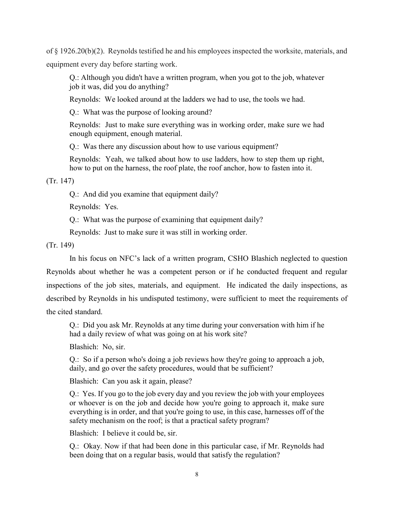of § 1926.20(b)(2). Reynolds testified he and his employees inspected the worksite, materials, and equipment every day before starting work.

Q.: Although you didn't have a written program, when you got to the job, whatever job it was, did you do anything?

Reynolds: We looked around at the ladders we had to use, the tools we had.

Q.: What was the purpose of looking around?

Reynolds: Just to make sure everything was in working order, make sure we had enough equipment, enough material.

Q.: Was there any discussion about how to use various equipment?

Reynolds: Yeah, we talked about how to use ladders, how to step them up right, how to put on the harness, the roof plate, the roof anchor, how to fasten into it.

(Tr. 147)

Q.: And did you examine that equipment daily?

Reynolds: Yes.

Q.: What was the purpose of examining that equipment daily?

Reynolds: Just to make sure it was still in working order.

(Tr. 149)

In his focus on NFC's lack of a written program, CSHO Blashich neglected to question Reynolds about whether he was a competent person or if he conducted frequent and regular inspections of the job sites, materials, and equipment. He indicated the daily inspections, as described by Reynolds in his undisputed testimony, were sufficient to meet the requirements of the cited standard.

Q.: Did you ask Mr. Reynolds at any time during your conversation with him if he had a daily review of what was going on at his work site?

Blashich: No, sir.

Q.: So if a person who's doing a job reviews how they're going to approach a job, daily, and go over the safety procedures, would that be sufficient?

Blashich: Can you ask it again, please?

Q.: Yes. If you go to the job every day and you review the job with your employees or whoever is on the job and decide how you're going to approach it, make sure everything is in order, and that you're going to use, in this case, harnesses off of the safety mechanism on the roof; is that a practical safety program?

Blashich: I believe it could be, sir.

Q.: Okay. Now if that had been done in this particular case, if Mr. Reynolds had been doing that on a regular basis, would that satisfy the regulation?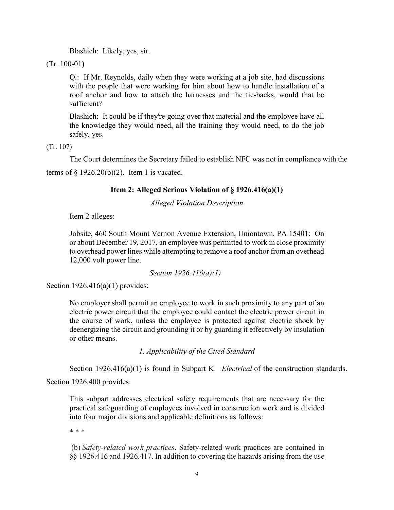Blashich: Likely, yes, sir.

(Tr. 100-01)

Q.: If Mr. Reynolds, daily when they were working at a job site, had discussions with the people that were working for him about how to handle installation of a roof anchor and how to attach the harnesses and the tie-backs, would that be sufficient?

Blashich: It could be if they're going over that material and the employee have all the knowledge they would need, all the training they would need, to do the job safely, yes.

(Tr. 107)

The Court determines the Secretary failed to establish NFC was not in compliance with the terms of  $\S$  1926.20(b)(2). Item 1 is vacated.

# **Item 2: Alleged Serious Violation of § 1926.416(a)(1)**

*Alleged Violation Description*

Item 2 alleges:

Jobsite, 460 South Mount Vernon Avenue Extension, Uniontown, PA 15401: On or about December 19, 2017, an employee was permitted to work in close proximity to overhead power lines while attempting to remove a roof anchor from an overhead 12,000 volt power line.

*Section 1926.416(a)(1)* 

Section  $1926.416(a)(1)$  provides:

No employer shall permit an employee to work in such proximity to any part of an electric power circuit that the employee could contact the electric power circuit in the course of work, unless the employee is protected against electric shock by deenergizing the circuit and grounding it or by guarding it effectively by insulation or other means.

*1. Applicability of the Cited Standard* 

[Section 1926.416\(a\)\(1\) i](https://1.next.westlaw.com/Link/Document/FullText?findType=L&pubNum=1000547&cite=29CFRS1926.416&originatingDoc=Ic38d8cbbe32b11e490d4edf60ce7d742&refType=RB&originationContext=document&transitionType=DocumentItem&contextData=(sc.Search)#co_pp_7b9b000044381)s found in Subpart K—*Electrical* of the construction standards.

Section 1926.400 provides:

This subpart addresses electrical safety requirements that are necessary for the practical safeguarding of employees involved in construction work and is divided into four major divisions and applicable definitions as follows:

\* \* \*

(b) *Safety-related work practices*. Safety-related work practices are contained in §§ 1926.416 and 1926.417. In addition to covering the hazards arising from the use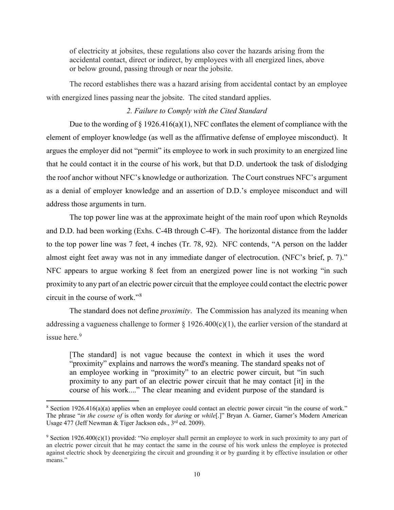of electricity at jobsites, these regulations also cover the hazards arising from the accidental contact, direct or indirect, by employees with all energized lines, above or below ground, passing through or near the jobsite.

The record establishes there was a hazard arising from accidental contact by an employee with energized lines passing near the jobsite. The cited standard applies.

## *2. Failure to Comply with the Cited Standard*

Due to the wording of  $\S 1926.416(a)(1)$ , NFC conflates the element of compliance with the element of employer knowledge (as well as the affirmative defense of employee misconduct). It argues the employer did not "permit" its employee to work in such proximity to an energized line that he could contact it in the course of his work, but that D.D. undertook the task of dislodging the roof anchor without NFC's knowledge or authorization. The Court construes NFC's argument as a denial of employer knowledge and an assertion of D.D.'s employee misconduct and will address those arguments in turn.

The top power line was at the approximate height of the main roof upon which Reynolds and D.D. had been working (Exhs. C-4B through C-4F). The horizontal distance from the ladder to the top power line was 7 feet, 4 inches (Tr. 78, 92). NFC contends, "A person on the ladder almost eight feet away was not in any immediate danger of electrocution. (NFC's brief, p. 7)." NFC appears to argue working 8 feet from an energized power line is not working "in such proximity to any part of an electric power circuit that the employee could contact the electric power circuit in the course of work."[8](#page-9-0)

 The standard does not define *proximity*. The Commission has analyzed its meaning when addressing a vagueness challenge to former  $\S 1926.400(c)(1)$ , the earlier version of the standard at issue here.<sup>[9](#page-9-1)</sup>

[The standard] is not vague because the context in which it uses the word "proximity" explains and narrows the word's meaning. The standard speaks not of an employee working in "proximity" to an electric power circuit, but "in such proximity to any part of an electric power circuit that he may contact [it] in the course of his work...." The clear meaning and evident purpose of the standard is

<span id="page-9-0"></span><sup>8</sup> Section 1926.416(a)(a) applies when an employee could contact an electric power circuit "in the course of work." The phrase "*in the course of* is often wordy for *during* or *while*[.]" Bryan A. Garner, Garner's Modern American Usage 477 (Jeff Newman & Tiger Jackson eds., 3<sup>rd</sup> ed. 2009).

<span id="page-9-1"></span><sup>9</sup> Section 1926.400(c)(1) provided: "No employer shall permit an employee to work in such proximity to any part of an electric power circuit that he may contact the same in the course of his work unless the employee is protected against electric shock by deenergizing the circuit and grounding it or by guarding it by effective insulation or other means."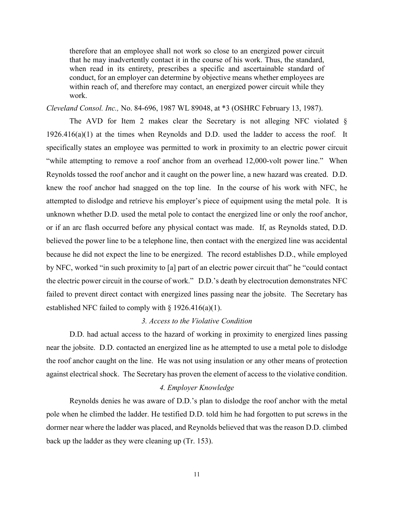therefore that an employee shall not work so close to an energized power circuit that he may inadvertently contact it in the course of his work. Thus, the standard, when read in its entirety, prescribes a specific and ascertainable standard of conduct, for an employer can determine by objective means whether employees are within reach of, and therefore may contact, an energized power circuit while they work.

*Cleveland Consol. Inc.,* No. 84-696, 1987 WL 89048, at \*3 (OSHRC February 13, 1987).

The AVD for Item 2 makes clear the Secretary is not alleging NFC violated  $\S$  $1926.416(a)(1)$  at the times when Reynolds and D.D. used the ladder to access the roof. It specifically states an employee was permitted to work in proximity to an electric power circuit "while attempting to remove a roof anchor from an overhead 12,000-volt power line." When Reynolds tossed the roof anchor and it caught on the power line, a new hazard was created. D.D. knew the roof anchor had snagged on the top line. In the course of his work with NFC, he attempted to dislodge and retrieve his employer's piece of equipment using the metal pole. It is unknown whether D.D. used the metal pole to contact the energized line or only the roof anchor, or if an arc flash occurred before any physical contact was made. If, as Reynolds stated, D.D. believed the power line to be a telephone line, then contact with the energized line was accidental because he did not expect the line to be energized. The record establishes D.D., while employed by NFC, worked "in such proximity to [a] part of an electric power circuit that" he "could contact the electric power circuit in the course of work." D.D.'s death by electrocution demonstrates NFC failed to prevent direct contact with energized lines passing near the jobsite. The Secretary has established NFC failed to comply with  $\S 1926.416(a)(1)$ .

#### *3. Access to the Violative Condition*

D.D. had actual access to the hazard of working in proximity to energized lines passing near the jobsite. D.D. contacted an energized line as he attempted to use a metal pole to dislodge the roof anchor caught on the line. He was not using insulation or any other means of protection against electrical shock. The Secretary has proven the element of access to the violative condition.

### *4. Employer Knowledge*

Reynolds denies he was aware of D.D.'s plan to dislodge the roof anchor with the metal pole when he climbed the ladder. He testified D.D. told him he had forgotten to put screws in the dormer near where the ladder was placed, and Reynolds believed that was the reason D.D. climbed back up the ladder as they were cleaning up (Tr. 153).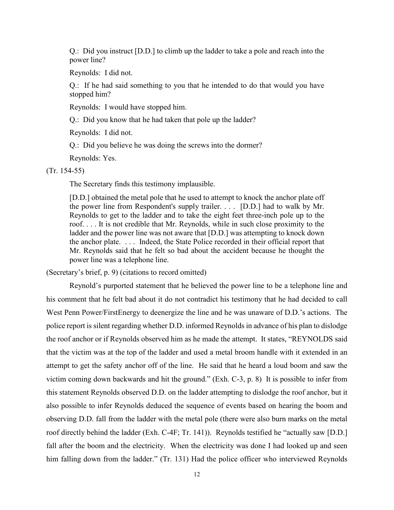Q.: Did you instruct [D.D.] to climb up the ladder to take a pole and reach into the power line?

Reynolds: I did not.

Q.: If he had said something to you that he intended to do that would you have stopped him?

Reynolds: I would have stopped him.

Q.: Did you know that he had taken that pole up the ladder?

Reynolds: I did not.

Q.: Did you believe he was doing the screws into the dormer?

Reynolds: Yes.

(Tr. 154-55)

The Secretary finds this testimony implausible.

[D.D.] obtained the metal pole that he used to attempt to knock the anchor plate off the power line from Respondent's supply trailer. . . . [D.D.] had to walk by Mr. Reynolds to get to the ladder and to take the eight feet three-inch pole up to the roof. . . . It is not credible that Mr. Reynolds, while in such close proximity to the ladder and the power line was not aware that [D.D.] was attempting to knock down the anchor plate. . . . Indeed, the State Police recorded in their official report that Mr. Reynolds said that he felt so bad about the accident because he thought the power line was a telephone line.

(Secretary's brief, p. 9) (citations to record omitted)

Reynold's purported statement that he believed the power line to be a telephone line and his comment that he felt bad about it do not contradict his testimony that he had decided to call West Penn Power/FirstEnergy to deenergize the line and he was unaware of D.D.'s actions. The police report is silent regarding whether D.D. informed Reynolds in advance of his plan to dislodge the roof anchor or if Reynolds observed him as he made the attempt. It states, "REYNOLDS said that the victim was at the top of the ladder and used a metal broom handle with it extended in an attempt to get the safety anchor off of the line. He said that he heard a loud boom and saw the victim coming down backwards and hit the ground." (Exh. C-3, p. 8) It is possible to infer from this statement Reynolds observed D.D. on the ladder attempting to dislodge the roof anchor, but it also possible to infer Reynolds deduced the sequence of events based on hearing the boom and observing D.D. fall from the ladder with the metal pole (there were also burn marks on the metal roof directly behind the ladder (Exh. C-4F; Tr. 141)). Reynolds testified he "actually saw [D.D.] fall after the boom and the electricity. When the electricity was done I had looked up and seen him falling down from the ladder." (Tr. 131) Had the police officer who interviewed Reynolds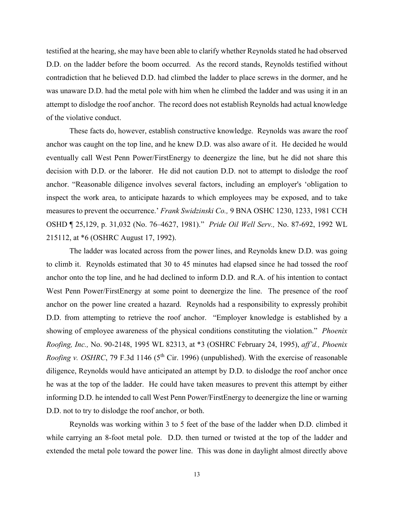testified at the hearing, she may have been able to clarify whether Reynolds stated he had observed D.D. on the ladder before the boom occurred. As the record stands, Reynolds testified without contradiction that he believed D.D. had climbed the ladder to place screws in the dormer, and he was unaware D.D. had the metal pole with him when he climbed the ladder and was using it in an attempt to dislodge the roof anchor. The record does not establish Reynolds had actual knowledge of the violative conduct.

These facts do, however, establish constructive knowledge. Reynolds was aware the roof anchor was caught on the top line, and he knew D.D. was also aware of it. He decided he would eventually call West Penn Power/FirstEnergy to deenergize the line, but he did not share this decision with D.D. or the laborer. He did not caution D.D. not to attempt to dislodge the roof anchor. "Reasonable diligence involves several factors, including an employer's 'obligation to inspect the work area, to anticipate hazards to which employees may be exposed, and to take measures to prevent the occurrence.' *Frank Swidzinski Co.,* [9 BNA OSHC 1230, 1233, 1981](https://1.next.westlaw.com/Link/Document/FullText?findType=Y&serNum=1981247029&pubNum=0003227&originatingDoc=I4264b697fa2911d9b386b232635db992&refType=CA&fi=co_pp_sp_3227_1233&originationContext=document&transitionType=DocumentItem&contextData=(sc.DocLink)#co_pp_sp_3227_1233) CCH OSHD ¶ 25,129, p. 31,032 (No. 76–4627, 1981)." *Pride Oil Well Serv.,* No. 87-692, 1992 WL 215112, at \*6 (OSHRC August 17, 1992).

The ladder was located across from the power lines, and Reynolds knew D.D. was going to climb it. Reynolds estimated that 30 to 45 minutes had elapsed since he had tossed the roof anchor onto the top line, and he had declined to inform D.D. and R.A. of his intention to contact West Penn Power/FirstEnergy at some point to deenergize the line. The presence of the roof anchor on the power line created a hazard. Reynolds had a responsibility to expressly prohibit D.D. from attempting to retrieve the roof anchor. "Employer knowledge is established by a showing of employee awareness of the physical conditions constituting the violation." *Phoenix Roofing, Inc.,* No. 90-2148, 1995 WL 82313, at \*3 (OSHRC February 24, 1995), *aff'd., Phoenix Roofing v. OSHRC*, 79 F.3d 1146 (5<sup>th</sup> Cir. 1996) (unpublished). With the exercise of reasonable diligence, Reynolds would have anticipated an attempt by D.D. to dislodge the roof anchor once he was at the top of the ladder. He could have taken measures to prevent this attempt by either informing D.D. he intended to call West Penn Power/FirstEnergy to deenergize the line or warning D.D. not to try to dislodge the roof anchor, or both.

Reynolds was working within 3 to 5 feet of the base of the ladder when D.D. climbed it while carrying an 8-foot metal pole. D.D. then turned or twisted at the top of the ladder and extended the metal pole toward the power line. This was done in daylight almost directly above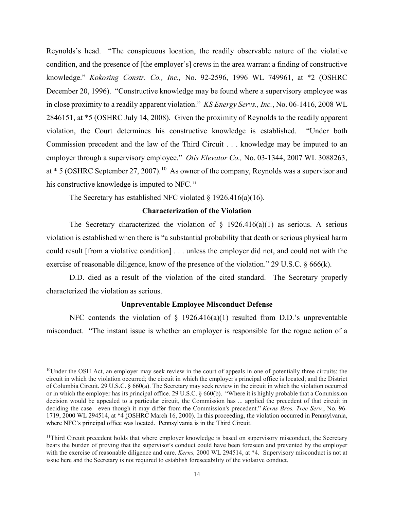Reynolds's head. "The conspicuous location, the readily observable nature of the violative condition, and the presence of [the employer's] crews in the area warrant a finding of constructive knowledge." *Kokosing Constr. Co., Inc.,* No. 92-2596, 1996 WL 749961, at \*2 (OSHRC December 20, 1996). "Constructive knowledge may be found where a supervisory employee was in close proximity to a readily apparent violation." *KS Energy Servs., Inc.*, No. 06-1416, 2008 WL 2846151, at \*5 (OSHRC July 14, 2008). Given the proximity of Reynolds to the readily apparent violation, the Court determines his constructive knowledge is established. "Under both Commission precedent and the law of the Third Circuit . . . knowledge may be imputed to an employer through a supervisory employee." *Otis Elevator Co.,* No. 03-1344, 2007 WL 3088263, at  $*$  5 (OSHRC September 27, 2007).<sup>10</sup> As owner of the company, Reynolds was a supervisor and his constructive knowledge is imputed to NFC.<sup>[11](#page-13-1)</sup>

The Secretary has established NFC violated  $\S$  1926.416(a)(16).

### **Characterization of the Violation**

The Secretary characterized the violation of  $\S$  1926.416(a)(1) as serious. A serious violation is established when there is "a substantial probability that death or serious physical harm could result [from a violative condition] . . . unless the employer did not, and could not with the exercise of reasonable diligence, know of the presence of the violation." 29 U.S.C. § 666(k).

D.D. died as a result of the violation of the cited standard. The Secretary properly characterized the violation as serious.

#### **Unpreventable Employee Misconduct Defense**

NFC contends the violation of  $\S$  1926.416(a)(1) resulted from D.D.'s unpreventable misconduct. "The instant issue is whether an employer is responsible for the rogue action of a

<span id="page-13-0"></span><sup>10</sup>Under the OSH Act, an employer may seek review in the court of appeals in one of potentially three circuits: the circuit in which the violation occurred; the circuit in which the employer's principal office is located; and the District of Columbia Circuit. [29 U.S.C. § 660\(a\).](https://1.next.westlaw.com/Link/Document/FullText?findType=L&pubNum=1000546&cite=29USCAS660&originatingDoc=Ia1b3e00d935911e5a795ac035416da91&refType=RB&originationContext=document&transitionType=DocumentItem&contextData=(sc.Search)#co_pp_8b3b0000958a4) The Secretary may seek review in the circuit in which the violation occurred or in which the employer has its principal office. [29 U.S.C. § 660\(b\).](https://1.next.westlaw.com/Link/Document/FullText?findType=L&pubNum=1000546&cite=29USCAS660&originatingDoc=Ia1b3e00d935911e5a795ac035416da91&refType=RB&originationContext=document&transitionType=DocumentItem&contextData=(sc.Search)#co_pp_a83b000018c76) "Where it is highly probable that a Commission decision would be appealed to a particular circuit, the Commission has ... applied the precedent of that circuit in deciding the case—even though it may differ from the Commission's precedent." *[Kerns Bros. Tree Serv.](https://1.next.westlaw.com/Link/Document/FullText?findType=Y&serNum=2000367515&pubNum=0003227&originatingDoc=Ia1b3e00d935911e5a795ac035416da91&refType=CA&fi=co_pp_sp_3227_2067&originationContext=document&transitionType=DocumentItem&contextData=(sc.Search)#co_pp_sp_3227_2067)*, No. 96- [1719, 2000 WL 294514, at \\*4 \(O](https://1.next.westlaw.com/Link/Document/FullText?findType=Y&serNum=2000367515&pubNum=0003227&originatingDoc=Ia1b3e00d935911e5a795ac035416da91&refType=CA&fi=co_pp_sp_3227_2067&originationContext=document&transitionType=DocumentItem&contextData=(sc.Search)#co_pp_sp_3227_2067)SHRC March 16, 2000). In this proceeding, the violation occurred in Pennsylvania, where NFC's principal office was located. Pennsylvania is in the Third Circuit.

<span id="page-13-1"></span><sup>&</sup>lt;sup>11</sup>Third Circuit precedent holds that where employer knowledge is based on supervisory misconduct, the Secretary bears the burden of proving that the supervisor's conduct could have been foreseen and prevented by the employer with the exercise of reasonable diligence and care. *Kerns,* 2000 WL 294514, at \*4*.* Supervisory misconduct is not at issue here and the Secretary is not required to establish foreseeability of the violative conduct.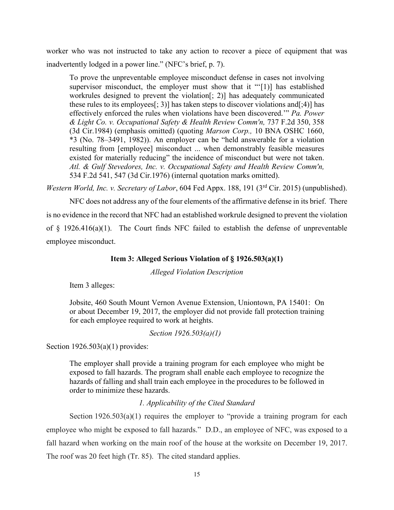worker who was not instructed to take any action to recover a piece of equipment that was inadvertently lodged in a power line." (NFC's brief, p. 7).

To prove the unpreventable employee misconduct defense in cases not involving supervisor misconduct, the employer must show that it "'[1]] has established workrules designed to prevent the violation[; 2)] has adequately communicated these rules to its employees[; 3)] has taken steps to discover violations and [; 4)] has effectively enforced the rules when violations have been discovered.'" *Pa. Power & Light Co. v. Occupational Safety & Health Review Comm'n,* 737 F.2d 350, 358 (3d Cir.1984) (emphasis omitted) (quoting *Marson Corp.,* 10 BNA OSHC 1660, \*3 (No. 78–3491, 1982)). An employer can be "held answerable for a violation resulting from [employee] misconduct ... when demonstrably feasible measures existed for materially reducing" the incidence of misconduct but were not taken. *Atl. & Gulf Stevedores, Inc. v. Occupational Safety and Health Review Comm'n,*  534 F.2d 541, 547 (3d Cir.1976) (internal quotation marks omitted).

*Western World, Inc. v. Secretary of Labor, 604 Fed Appx.* 188, 191 (3<sup>rd</sup> Cir. 2015) (unpublished).

NFC does not address any of the four elements of the affirmative defense in its brief. There is no evidence in the record that NFC had an established workrule designed to prevent the violation of  $\S$  1926.416(a)(1). The Court finds NFC failed to establish the defense of unpreventable employee misconduct.

### **Item 3: Alleged Serious Violation of § 1926.503(a)(1)**

*Alleged Violation Description*

Item 3 alleges:

Jobsite, 460 South Mount Vernon Avenue Extension, Uniontown, PA 15401: On or about December 19, 2017, the employer did not provide fall protection training for each employee required to work at heights.

*Section 1926.503(a)(1)* 

Section  $1926.503(a)(1)$  provides:

The employer shall provide a training program for each employee who might be exposed to fall hazards. The program shall enable each employee to recognize the hazards of falling and shall train each employee in the procedures to be followed in order to minimize these hazards.

## *1. Applicability of the Cited Standard*

Section 1926.503(a)(1) requires the employer to "provide a training program for each employee who might be exposed to fall hazards." D.D., an employee of NFC, was exposed to a fall hazard when working on the main roof of the house at the worksite on December 19, 2017. The roof was 20 feet high (Tr. 85). The cited standard applies.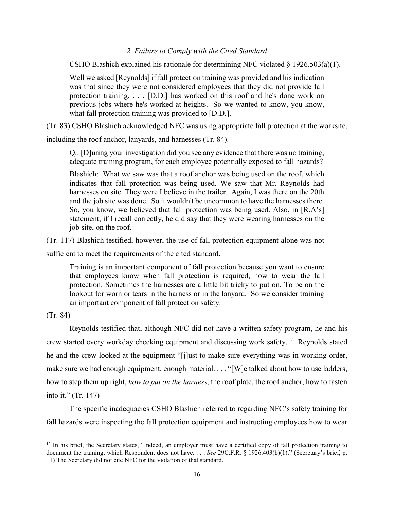### *2. Failure to Comply with the Cited Standard*

CSHO Blashich explained his rationale for determining NFC violated  $\S 1926.503(a)(1)$ .

Well we asked [Reynolds] if fall protection training was provided and his indication was that since they were not considered employees that they did not provide fall protection training. . . . [D.D.] has worked on this roof and he's done work on previous jobs where he's worked at heights. So we wanted to know, you know, what fall protection training was provided to [D.D.].

(Tr. 83) CSHO Blashich acknowledged NFC was using appropriate fall protection at the worksite,

including the roof anchor, lanyards, and harnesses (Tr. 84).

Q.: [D]uring your investigation did you see any evidence that there was no training, adequate training program, for each employee potentially exposed to fall hazards?

Blashich: What we saw was that a roof anchor was being used on the roof, which indicates that fall protection was being used. We saw that Mr. Reynolds had harnesses on site. They were I believe in the trailer. Again, I was there on the 20th and the job site was done. So it wouldn't be uncommon to have the harnesses there. So, you know, we believed that fall protection was being used. Also, in [R.A's] statement, if I recall correctly, he did say that they were wearing harnesses on the job site, on the roof.

(Tr. 117) Blashich testified, however, the use of fall protection equipment alone was not

sufficient to meet the requirements of the cited standard.

Training is an important component of fall protection because you want to ensure that employees know when fall protection is required, how to wear the fall protection. Sometimes the harnesses are a little bit tricky to put on. To be on the lookout for worn or tears in the harness or in the lanyard. So we consider training an important component of fall protection safety.

(Tr. 84)

Reynolds testified that, although NFC did not have a written safety program, he and his crew started every workday checking equipment and discussing work safety.[12](#page-15-0) Reynolds stated he and the crew looked at the equipment "[j]ust to make sure everything was in working order, make sure we had enough equipment, enough material. . . . "[W]e talked about how to use ladders, how to step them up right, *how to put on the harness*, the roof plate, the roof anchor, how to fasten into it." (Tr. 147)

The specific inadequacies CSHO Blashich referred to regarding NFC's safety training for fall hazards were inspecting the fall protection equipment and instructing employees how to wear

<span id="page-15-0"></span> $12$  In his brief, the Secretary states, "Indeed, an employer must have a certified copy of fall protection training to document the training, which Respondent does not have. . . . *See* 29C.F.R. § 1926.403(b)(1)." (Secretary's brief, p. 11) The Secretary did not cite NFC for the violation of that standard.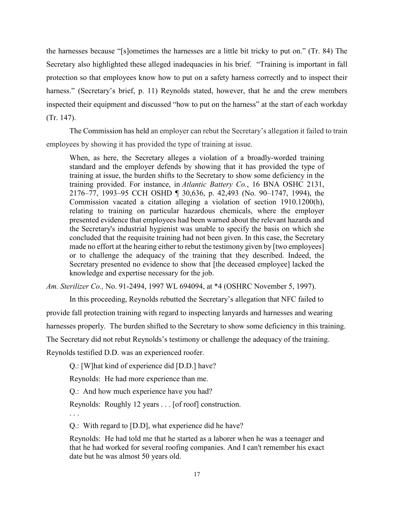the harnesses because "[s]ometimes the harnesses are a little bit tricky to put on." (Tr. 84) The Secretary also highlighted these alleged inadequacies in his brief. "Training is important in fall protection so that employees know how to put on a safety harness correctly and to inspect their harness." (Secretary's brief, p. 11) Reynolds stated, however, that he and the crew members inspected their equipment and discussed "how to put on the harness" at the start of each workday (Tr. 147).

The Commission has held an employer can rebut the Secretary's allegation it failed to train employees by showing it has provided the type of training at issue.

When, as here, the Secretary alleges a violation of a broadly-worded training standard and the employer defends by showing that it has provided the type of training at issue, the burden shifts to the Secretary to show some deficiency in the training provided. For instance, in *Atlantic Battery Co.*, 16 BNA OSHC 2131, 2176–77, 1993–95 CCH OSHD ¶ 30,636, p. 42,493 (No. 90–1747, 1994), the Commission vacated a citation alleging a violation of section 1910.1200(h), relating to training on particular hazardous chemicals, where the employer presented evidence that employees had been warned about the relevant hazards and the Secretary's industrial hygienist was unable to specify the basis on which she concluded that the requisite training had not been given. In this case, the Secretary made no effort at the hearing either to rebut the testimony given by [two employees] or to challenge the adequacy of the training that they described. Indeed, the Secretary presented no evidence to show that [the deceased employee] lacked the knowledge and expertise necessary for the job.

*Am. Sterilizer Co.,* No. 91-2494, 1997 WL 694094, at \*4 (OSHRC November 5, 1997).

In this proceeding, Reynolds rebutted the Secretary's allegation that NFC failed to

provide fall protection training with regard to inspecting lanyards and harnesses and wearing

harnesses properly. The burden shifted to the Secretary to show some deficiency in this training.

The Secretary did not rebut Reynolds's testimony or challenge the adequacy of the training.

Reynolds testified D.D. was an experienced roofer.

Q.: [W]hat kind of experience did [D.D.] have?

Reynolds: He had more experience than me.

Q.: And how much experience have you had?

Reynolds: Roughly 12 years . . . [of roof] construction.

. . .

Q.: With regard to [D.D], what experience did he have?

Reynolds: He had told me that he started as a laborer when he was a teenager and that he had worked for several roofing companies. And I can't remember his exact date but he was almost 50 years old.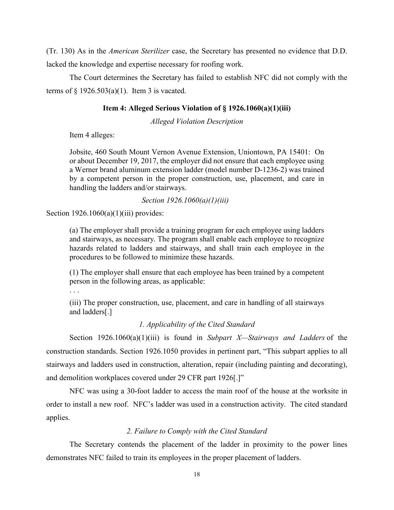(Tr. 130) As in the *American Sterilizer* case, the Secretary has presented no evidence that D.D. lacked the knowledge and expertise necessary for roofing work.

The Court determines the Secretary has failed to establish NFC did not comply with the terms of  $\S$  1926.503(a)(1). Item 3 is vacated.

#### **Item 4: Alleged Serious Violation of § 1926.1060(a)(1)(iii)**

*Alleged Violation Description*

Item 4 alleges:

Jobsite, 460 South Mount Vernon Avenue Extension, Uniontown, PA 15401: On or about December 19, 2017, the employer did not ensure that each employee using a Werner brand aluminum extension ladder (model number D-1236-2) was trained by a competent person in the proper construction, use, placement, and care in handling the ladders and/or stairways.

#### *Section 1926.1060(a)(1)(iii)*

Section  $1926.1060(a)(1)(iii)$  provides:

(a) The employer shall provide a training program for each employee using ladders and stairways, as necessary. The program shall enable each employee to recognize hazards related to ladders and stairways, and shall train each employee in the procedures to be followed to minimize these hazards.

(1) The employer shall ensure that each employee has been trained by a competent person in the following areas, as applicable:

. . .

(iii) The proper construction, use, placement, and care in handling of all stairways and ladders[.]

## *1. Applicability of the Cited Standard*

Section 1926.1060(a)(1)(iii) is found in *Subpart X—Stairways and Ladders* of the construction standards. Section 1926.1050 provides in pertinent part, "This subpart applies to all stairways and ladders used in construction, alteration, repair (including painting and decorating), and demolition workplaces covered under 29 CFR part 1926[.]"

NFC was using a 30-foot ladder to access the main roof of the house at the worksite in order to install a new roof. NFC's ladder was used in a construction activity. The cited standard applies.

## *2. Failure to Comply with the Cited Standard*

The Secretary contends the placement of the ladder in proximity to the power lines demonstrates NFC failed to train its employees in the proper placement of ladders.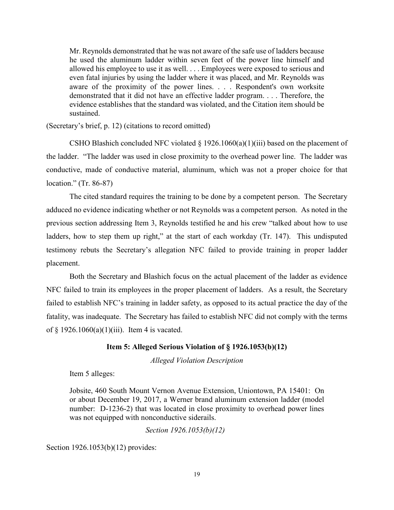Mr. Reynolds demonstrated that he was not aware of the safe use of ladders because he used the aluminum ladder within seven feet of the power line himself and allowed his employee to use it as well. . . . Employees were exposed to serious and even fatal injuries by using the ladder where it was placed, and Mr. Reynolds was aware of the proximity of the power lines. . . . Respondent's own worksite demonstrated that it did not have an effective ladder program. . . . Therefore, the evidence establishes that the standard was violated, and the Citation item should be sustained.

(Secretary's brief, p. 12) (citations to record omitted)

CSHO Blashich concluded NFC violated  $\S 1926.1060(a)(1)(iii)$  based on the placement of the ladder. "The ladder was used in close proximity to the overhead power line. The ladder was conductive, made of conductive material, aluminum, which was not a proper choice for that location." (Tr. 86-87)

The cited standard requires the training to be done by a competent person. The Secretary adduced no evidence indicating whether or not Reynolds was a competent person. As noted in the previous section addressing Item 3, Reynolds testified he and his crew "talked about how to use ladders, how to step them up right," at the start of each workday (Tr. 147). This undisputed testimony rebuts the Secretary's allegation NFC failed to provide training in proper ladder placement.

Both the Secretary and Blashich focus on the actual placement of the ladder as evidence NFC failed to train its employees in the proper placement of ladders. As a result, the Secretary failed to establish NFC's training in ladder safety, as opposed to its actual practice the day of the fatality, was inadequate. The Secretary has failed to establish NFC did not comply with the terms of  $\S$  1926.1060(a)(1)(iii). Item 4 is vacated.

### **Item 5: Alleged Serious Violation of § 1926.1053(b)(12)**

*Alleged Violation Description*

Item 5 alleges:

Jobsite, 460 South Mount Vernon Avenue Extension, Uniontown, PA 15401: On or about December 19, 2017, a Werner brand aluminum extension ladder (model number: D-1236-2) that was located in close proximity to overhead power lines was not equipped with nonconductive siderails.

*Section 1926.1053(b)(12)* 

Section 1926.1053(b)(12) provides: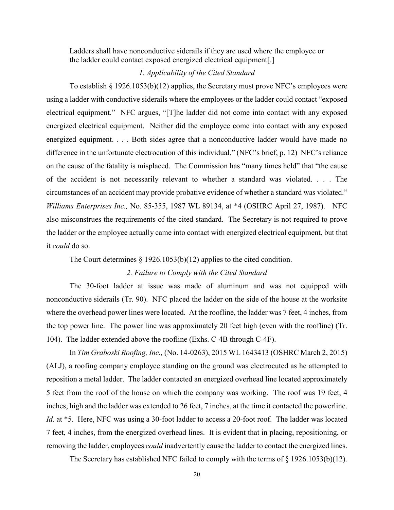Ladders shall have nonconductive siderails if they are used where the employee or the ladder could contact exposed energized electrical equipment[.]

#### *1. Applicability of the Cited Standard*

To establish  $\S$  1926.1053(b)(12) applies, the Secretary must prove NFC's employees were using a ladder with conductive siderails where the employees or the ladder could contact "exposed electrical equipment." NFC argues, "[T]he ladder did not come into contact with any exposed energized electrical equipment. Neither did the employee come into contact with any exposed energized equipment. . . . Both sides agree that a nonconductive ladder would have made no difference in the unfortunate electrocution of this individual." (NFC's brief, p. 12) NFC's reliance on the cause of the fatality is misplaced. The Commission has "many times held" that "the cause of the accident is not necessarily relevant to whether a standard was violated. . . . The circumstances of an accident may provide probative evidence of whether a standard was violated." *Williams Enterprises Inc.,* No. 85-355, 1987 WL 89134, at \*4 (OSHRC April 27, 1987). NFC also misconstrues the requirements of the cited standard. The Secretary is not required to prove the ladder or the employee actually came into contact with energized electrical equipment, but that it *could* do so.

The Court determines § 1926.1053(b)(12) applies to the cited condition.

#### *2. Failure to Comply with the Cited Standard*

The 30-foot ladder at issue was made of aluminum and was not equipped with nonconductive siderails (Tr. 90). NFC placed the ladder on the side of the house at the worksite where the overhead power lines were located. At the roofline, the ladder was 7 feet, 4 inches, from the top power line. The power line was approximately 20 feet high (even with the roofline) (Tr. 104). The ladder extended above the roofline (Exhs. C-4B through C-4F).

In *Tim Graboski Roofing, Inc.,* (No. 14-0263), 2015 WL 1643413 (OSHRC March 2, 2015) (ALJ), a roofing company employee standing on the ground was electrocuted as he attempted to reposition a metal ladder. The ladder contacted an energized overhead line located approximately 5 feet from the roof of the house on which the company was working. The roof was 19 feet, 4 inches, high and the ladder was extended to 26 feet, 7 inches, at the time it contacted the powerline. *Id.* at \*5. Here, NFC was using a 30-foot ladder to access a 20-foot roof. The ladder was located 7 feet, 4 inches, from the energized overhead lines. It is evident that in placing, repositioning, or removing the ladder, employees *could* inadvertently cause the ladder to contact the energized lines.

The Secretary has established NFC failed to comply with the terms of § 1926.1053(b)(12).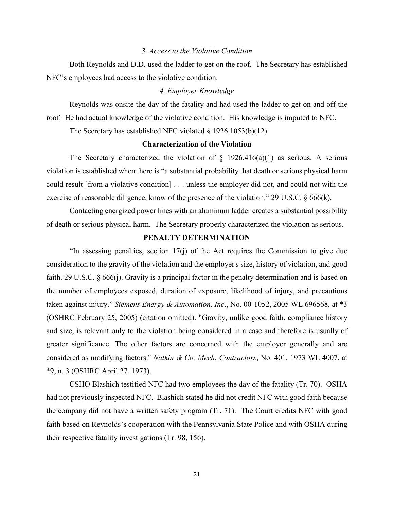#### *3. Access to the Violative Condition*

Both Reynolds and D.D. used the ladder to get on the roof. The Secretary has established NFC's employees had access to the violative condition.

#### *4. Employer Knowledge*

Reynolds was onsite the day of the fatality and had used the ladder to get on and off the roof. He had actual knowledge of the violative condition. His knowledge is imputed to NFC.

The Secretary has established NFC violated § 1926.1053(b)(12).

#### **Characterization of the Violation**

The Secretary characterized the violation of  $\S$  1926.416(a)(1) as serious. A serious violation is established when there is "a substantial probability that death or serious physical harm could result [from a violative condition] . . . unless the employer did not, and could not with the exercise of reasonable diligence, know of the presence of the violation." 29 U.S.C. § 666(k).

Contacting energized power lines with an aluminum ladder creates a substantial possibility of death or serious physical harm. The Secretary properly characterized the violation as serious.

## **PENALTY DETERMINATION**

 "In assessing penalties, section 17(j) of the Act requires the Commission to give due consideration to the gravity of the violation and the employer's size, history of violation, and good faith. [29 U.S.C. § 666\(j\).](https://1.next.westlaw.com/Link/Document/FullText?findType=L&pubNum=1000546&cite=29USCAS666&originatingDoc=Iec8e1f76fa3811d9bf60c1d57ebc853e&refType=RB&originationContext=document&transitionType=DocumentItem&contextData=(sc.DocLink)#co_pp_267600008f864) Gravity is a principal factor in the penalty determination and is based on the number of employees exposed, duration of exposure, likelihood of injury, and precautions taken against injury." *Siemens Energy & Automation, Inc*., No. 00-1052, 2005 WL 696568, at \*3 (OSHRC February 25, 2005) (citation omitted). "Gravity, unlike good faith, compliance history and size, is relevant only to the violation being considered in a case and therefore is usually of greater significance. The other factors are concerned with the employer generally and are considered as modifying factors.'' *Natkin & Co. Mech. Contractors*, No. 401, 1973 WL 4007, at \*9, n. 3 (OSHRC April 27, 1973).

CSHO Blashich testified NFC had two employees the day of the fatality (Tr. 70). OSHA had not previously inspected NFC. Blashich stated he did not credit NFC with good faith because the company did not have a written safety program (Tr. 71). The Court credits NFC with good faith based on Reynolds's cooperation with the Pennsylvania State Police and with OSHA during their respective fatality investigations (Tr. 98, 156).